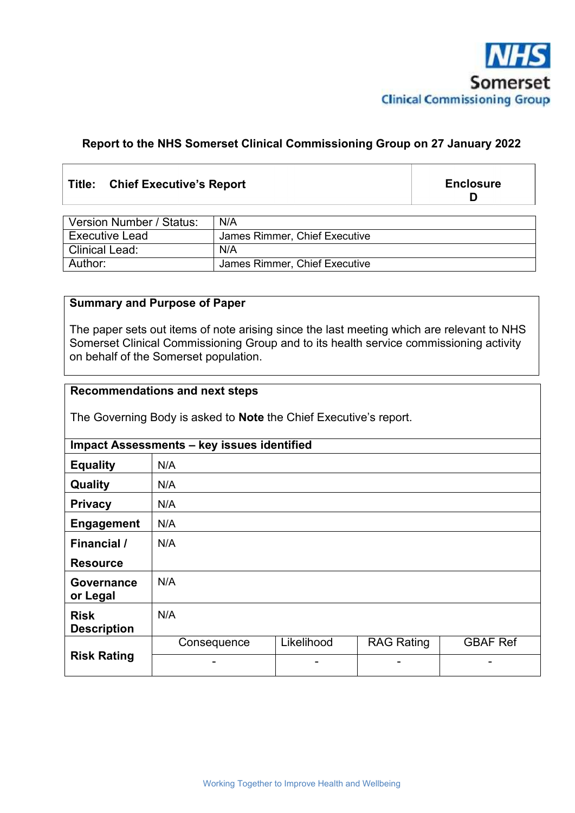

#### **Report to the NHS Somerset Clinical Commissioning Group on 27 January 2022**

#### **Title: Chief Executive's Report**

**Enclosure D** 

| Version Number / Status: | N/A                           |
|--------------------------|-------------------------------|
| <b>Executive Lead</b>    | James Rimmer, Chief Executive |
| Clinical Lead:           | N/A                           |
| Author:                  | James Rimmer, Chief Executive |

#### **Summary and Purpose of Paper**

The paper sets out items of note arising since the last meeting which are relevant to NHS Somerset Clinical Commissioning Group and to its health service commissioning activity on behalf of the Somerset population.

#### **Recommendations and next steps**

The Governing Body is asked to **Note** the Chief Executive's report.

|                                   | Impact Assessments - key issues identified |            |                   |                 |  |  |
|-----------------------------------|--------------------------------------------|------------|-------------------|-----------------|--|--|
| <b>Equality</b>                   | N/A                                        |            |                   |                 |  |  |
| Quality                           | N/A                                        |            |                   |                 |  |  |
| <b>Privacy</b>                    | N/A                                        |            |                   |                 |  |  |
| <b>Engagement</b>                 | N/A                                        |            |                   |                 |  |  |
| <b>Financial</b> /                | N/A                                        |            |                   |                 |  |  |
| <b>Resource</b>                   |                                            |            |                   |                 |  |  |
| Governance<br>or Legal            | N/A                                        |            |                   |                 |  |  |
| <b>Risk</b><br><b>Description</b> | N/A                                        |            |                   |                 |  |  |
|                                   | Consequence                                | Likelihood | <b>RAG Rating</b> | <b>GBAF Ref</b> |  |  |
| <b>Risk Rating</b>                |                                            |            |                   |                 |  |  |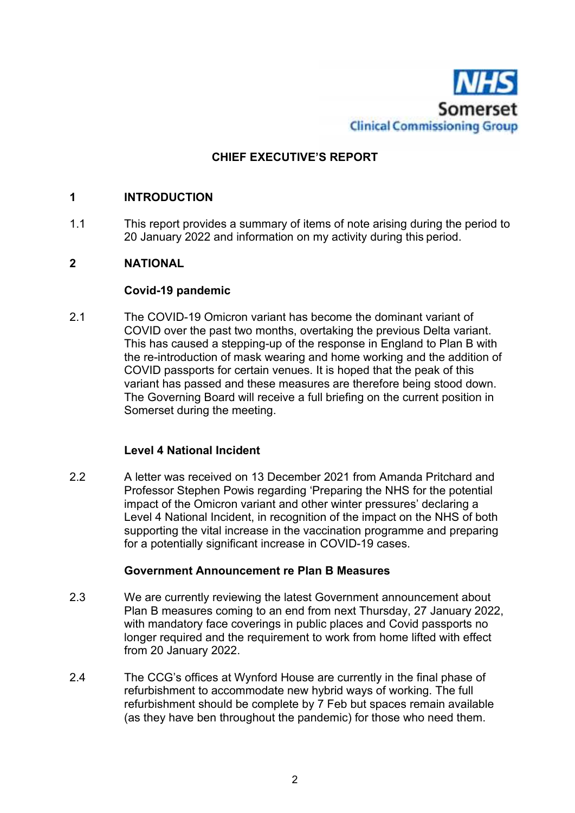

#### **CHIEF EXECUTIVE'S REPORT**

#### **1 INTRODUCTION**

1.1 This report provides a summary of items of note arising during the period to 20 January 2022 and information on my activity during this period.

#### **2 NATIONAL**

#### **Covid-19 pandemic**

2.1 The COVID-19 Omicron variant has become the dominant variant of COVID over the past two months, overtaking the previous Delta variant. This has caused a stepping-up of the response in England to Plan B with the re-introduction of mask wearing and home working and the addition of COVID passports for certain venues. It is hoped that the peak of this variant has passed and these measures are therefore being stood down. The Governing Board will receive a full briefing on the current position in Somerset during the meeting.

#### **Level 4 National Incident**

2.2 A letter was received on 13 December 2021 from Amanda Pritchard and Professor Stephen Powis regarding 'Preparing the NHS for the potential impact of the Omicron variant and other winter pressures' declaring a Level 4 National Incident, in recognition of the impact on the NHS of both supporting the vital increase in the vaccination programme and preparing for a potentially significant increase in COVID-19 cases.

#### **Government Announcement re Plan B Measures**

- 2.3 We are currently reviewing the latest Government announcement about Plan B measures coming to an end from next Thursday, 27 January 2022, with mandatory face coverings in public places and Covid passports no longer required and the requirement to work from home lifted with effect from 20 January 2022.
- 2.4 The CCG's offices at Wynford House are currently in the final phase of refurbishment to accommodate new hybrid ways of working. The full refurbishment should be complete by 7 Feb but spaces remain available (as they have ben throughout the pandemic) for those who need them.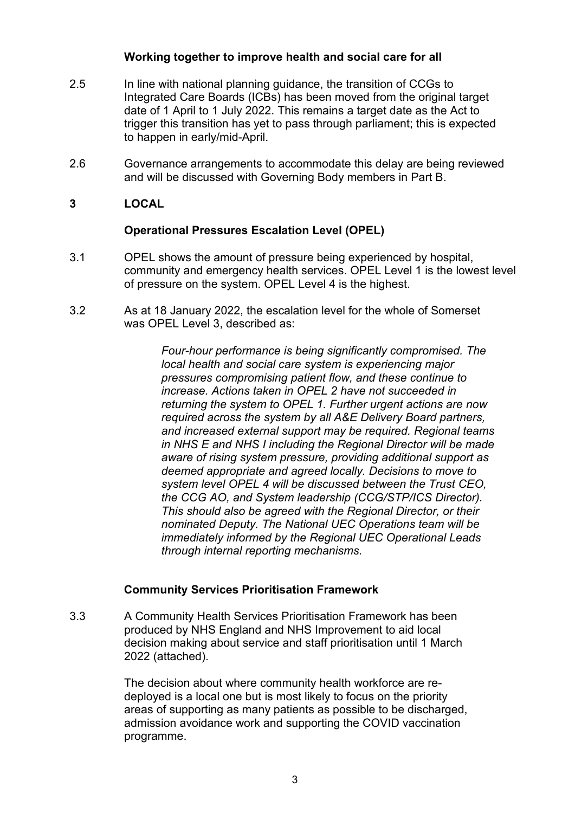#### **Working together to improve health and social care for all**

- 2.5 In line with national planning guidance, the transition of CCGs to Integrated Care Boards (ICBs) has been moved from the original target date of 1 April to 1 July 2022. This remains a target date as the Act to trigger this transition has yet to pass through parliament; this is expected to happen in early/mid-April.
- 2.6 Governance arrangements to accommodate this delay are being reviewed and will be discussed with Governing Body members in Part B.
- **3 LOCAL**

#### **Operational Pressures Escalation Level (OPEL)**

- 3.1 OPEL shows the amount of pressure being experienced by hospital, community and emergency health services. OPEL Level 1 is the lowest level of pressure on the system. OPEL Level 4 is the highest.
- 3.2 As at 18 January 2022, the escalation level for the whole of Somerset was OPEL Level 3, described as:

*Four-hour performance is being significantly compromised. The local health and social care system is experiencing major pressures compromising patient flow, and these continue to increase. Actions taken in OPEL 2 have not succeeded in returning the system to OPEL 1. Further urgent actions are now required across the system by all A&E Delivery Board partners, and increased external support may be required. Regional teams in NHS E and NHS I including the Regional Director will be made aware of rising system pressure, providing additional support as deemed appropriate and agreed locally. Decisions to move to system level OPEL 4 will be discussed between the Trust CEO, the CCG AO, and System leadership (CCG/STP/ICS Director). This should also be agreed with the Regional Director, or their nominated Deputy. The National UEC Operations team will be immediately informed by the Regional UEC Operational Leads through internal reporting mechanisms.* 

#### **Community Services Prioritisation Framework**

3.3 A Community Health Services Prioritisation Framework has been produced by NHS England and NHS Improvement to aid local decision making about service and staff prioritisation until 1 March 2022 (attached).

> The decision about where community health workforce are redeployed is a local one but is most likely to focus on the priority areas of supporting as many patients as possible to be discharged, admission avoidance work and supporting the COVID vaccination programme.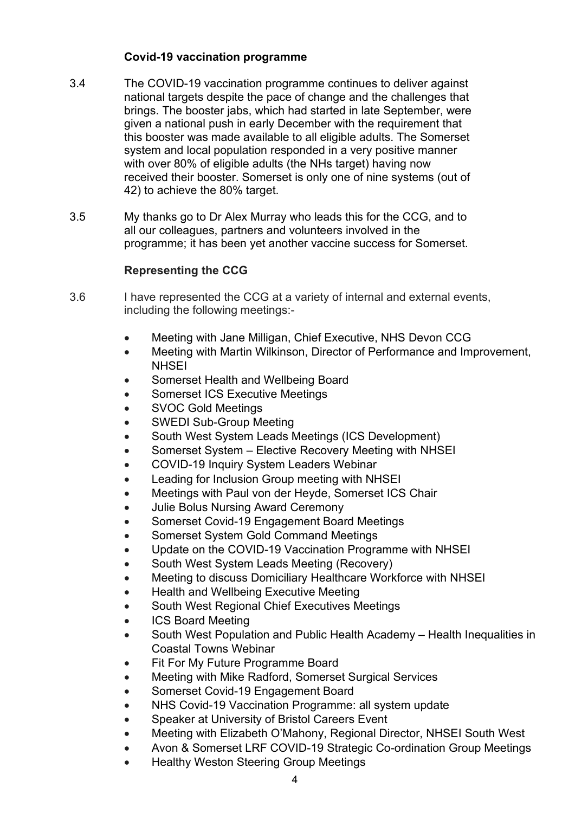#### **Covid-19 vaccination programme**

- 3.4 The COVID-19 vaccination programme continues to deliver against national targets despite the pace of change and the challenges that brings. The booster jabs, which had started in late September, were given a national push in early December with the requirement that this booster was made available to all eligible adults. The Somerset system and local population responded in a very positive manner with over 80% of eligible adults (the NHs target) having now received their booster. Somerset is only one of nine systems (out of 42) to achieve the 80% target.
- 3.5 My thanks go to Dr Alex Murray who leads this for the CCG, and to all our colleagues, partners and volunteers involved in the programme; it has been yet another vaccine success for Somerset.

#### **Representing the CCG**

- 3.6 I have represented the CCG at a variety of internal and external events, including the following meetings:-
	- Meeting with Jane Milligan, Chief Executive, NHS Devon CCG
	- Meeting with Martin Wilkinson, Director of Performance and Improvement, **NHSFI**
	- Somerset Health and Wellbeing Board
	- Somerset ICS Executive Meetings
	- SVOC Gold Meetings
	- SWEDI Sub-Group Meeting
	- South West System Leads Meetings (ICS Development)
	- Somerset System Elective Recovery Meeting with NHSEI
	- COVID-19 Inquiry System Leaders Webinar
	- Leading for Inclusion Group meeting with NHSEI
	- Meetings with Paul von der Heyde, Somerset ICS Chair
	- Julie Bolus Nursing Award Ceremony
	- Somerset Covid-19 Engagement Board Meetings
	- Somerset System Gold Command Meetings
	- Update on the COVID-19 Vaccination Programme with NHSEI
	- South West System Leads Meeting (Recovery)
	- Meeting to discuss Domiciliary Healthcare Workforce with NHSEI
	- Health and Wellbeing Executive Meeting
	- South West Regional Chief Executives Meetings
	- ICS Board Meeting
	- South West Population and Public Health Academy Health Inequalities in Coastal Towns Webinar
	- Fit For My Future Programme Board
	- Meeting with Mike Radford, Somerset Surgical Services
	- Somerset Covid-19 Engagement Board
	- NHS Covid-19 Vaccination Programme: all system update
	- Speaker at University of Bristol Careers Event
	- Meeting with Elizabeth O'Mahony, Regional Director, NHSEI South West
	- Avon & Somerset LRF COVID-19 Strategic Co-ordination Group Meetings
	- Healthy Weston Steering Group Meetings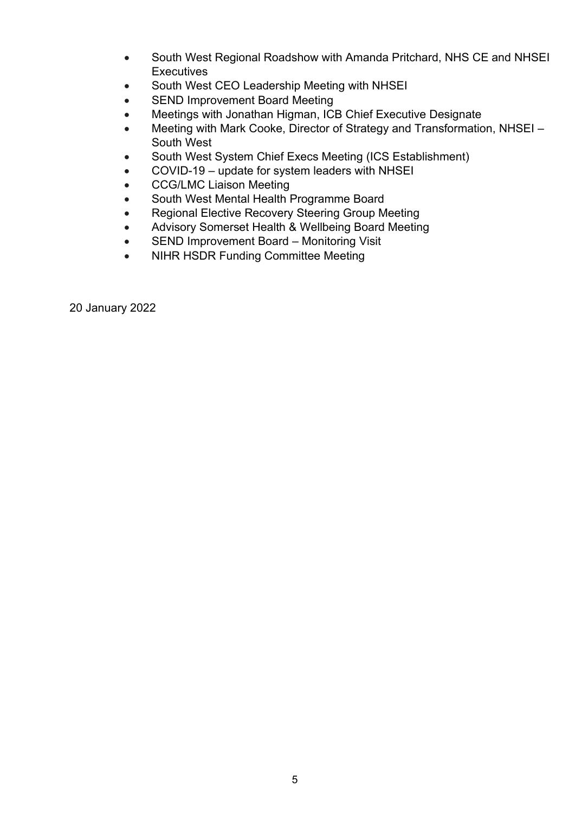- South West Regional Roadshow with Amanda Pritchard, NHS CE and NHSEI **Executives**
- South West CEO Leadership Meeting with NHSEI
- SEND Improvement Board Meeting
- Meetings with Jonathan Higman, ICB Chief Executive Designate
- Meeting with Mark Cooke, Director of Strategy and Transformation, NHSEI South West
- South West System Chief Execs Meeting (ICS Establishment)
- COVID-19 update for system leaders with NHSEI
- **CCG/LMC Liaison Meeting**
- South West Mental Health Programme Board
- Regional Elective Recovery Steering Group Meeting
- Advisory Somerset Health & Wellbeing Board Meeting
- SEND Improvement Board Monitoring Visit
- NIHR HSDR Funding Committee Meeting

20 January 2022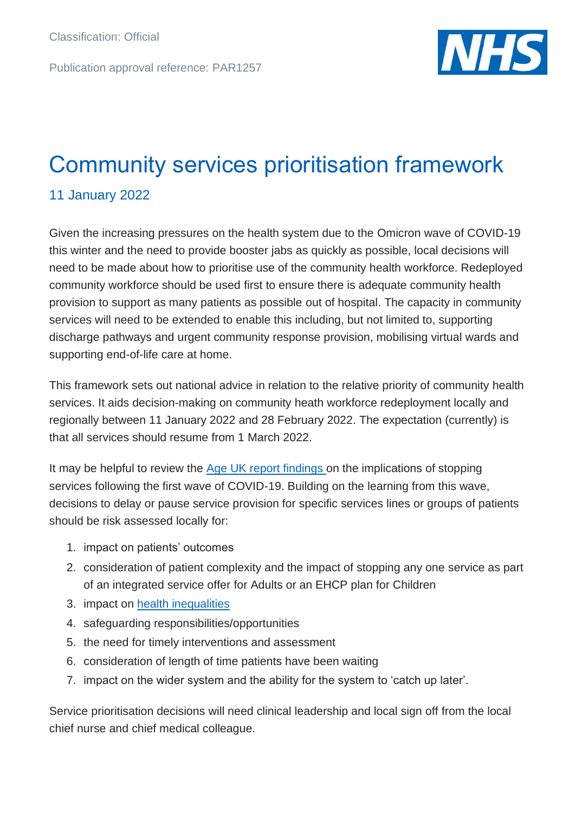Publication approval reference: PAR1257



# Community services prioritisation framework

### 11 January 2022

Given the increasing pressures on the health system due to the Omicron wave of COVID-19 this winter and the need to provide booster jabs as quickly as possible, local decisions will need to be made about how to prioritise use of the community health workforce. Redeployed community workforce should be used first to ensure there is adequate community health provision to support as many patients as possible out of hospital. The capacity in community services will need to be extended to enable this including, but not limited to, supporting discharge pathways and urgent community response provision, mobilising virtual wards and supporting end-of-life care at home.

This framework sets out national advice in relation to the relative priority of community health services. It aids decision-making on community heath workforce redeployment locally and regionally between 11 January 2022 and 28 February 2022. The expectation (currently) is that all services should resume from 1 March 2022.

It may be helpful to review the [Age UK report f](https://www.ageuk.org.uk/globalassets/age-uk/documents/reports-and-publications/reports-and-briefings/health--wellbeing/coronavirus/id204712-age-uk-coronavirus-impact-report---one-year-on.pdf)indings on the implications of stopping services following the first wave of COVID-19. Building on the learning from this wave, decisions to delay or pause service provision for specific services lines or groups of patients should be risk assessed locally for:

- 1. impact on patients' outcomes
- 2. consideration of patient complexity and the impact of stopping any one service as part of an integrated service offer for Adults or an EHCP plan for Children
- 3. impact on [health inequalities](https://www.engage.england.nhs.uk/survey/core20plus5/user_uploads/core20plus5-online-engage-survey-supporting-document-v1.pdf)
- 4. safeguarding responsibilities/opportunities
- 5. the need for timely interventions and assessment
- 6. consideration of length of time patients have been waiting
- 7. impact on the wider system and the ability for the system to 'catch up later'.

Service prioritisation decisions will need clinical leadership and local sign off from the local chief nurse and chief medical colleague.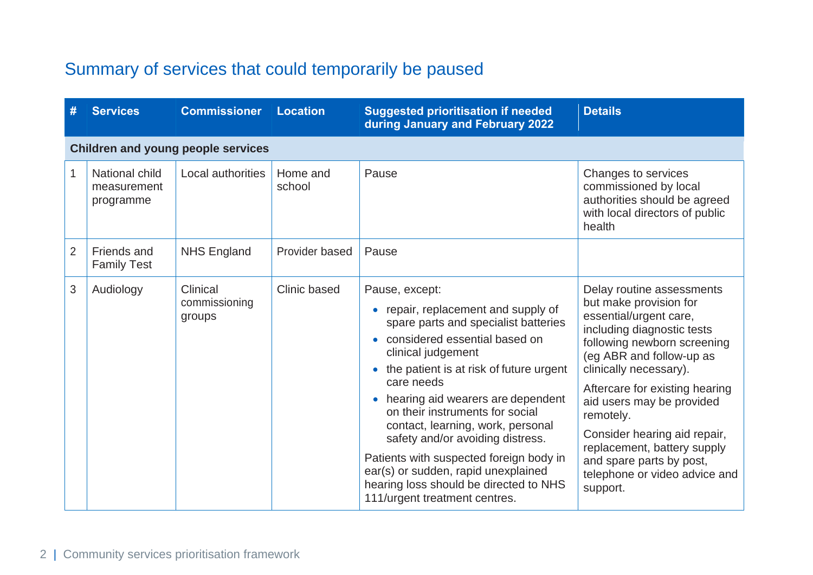## Summary of services that could temporarily be paused

| #              | <b>Services</b>                            | <b>Commissioner</b>                       | <b>Location</b>    | <b>Suggested prioritisation if needed</b><br>during January and February 2022                                                                                                                                                                                                                                                                                                                                                                                                                                                                                    | <b>Details</b>                                                                                                                                                                                                                                                                                                                                                                                                       |
|----------------|--------------------------------------------|-------------------------------------------|--------------------|------------------------------------------------------------------------------------------------------------------------------------------------------------------------------------------------------------------------------------------------------------------------------------------------------------------------------------------------------------------------------------------------------------------------------------------------------------------------------------------------------------------------------------------------------------------|----------------------------------------------------------------------------------------------------------------------------------------------------------------------------------------------------------------------------------------------------------------------------------------------------------------------------------------------------------------------------------------------------------------------|
|                |                                            | <b>Children and young people services</b> |                    |                                                                                                                                                                                                                                                                                                                                                                                                                                                                                                                                                                  |                                                                                                                                                                                                                                                                                                                                                                                                                      |
| $\mathbf{1}$   | National child<br>measurement<br>programme | Local authorities                         | Home and<br>school | Pause                                                                                                                                                                                                                                                                                                                                                                                                                                                                                                                                                            | Changes to services<br>commissioned by local<br>authorities should be agreed<br>with local directors of public<br>health                                                                                                                                                                                                                                                                                             |
| $\overline{2}$ | Friends and<br><b>Family Test</b>          | <b>NHS England</b>                        | Provider based     | Pause                                                                                                                                                                                                                                                                                                                                                                                                                                                                                                                                                            |                                                                                                                                                                                                                                                                                                                                                                                                                      |
| 3              | Audiology                                  | Clinical<br>commissioning<br>groups       | Clinic based       | Pause, except:<br>repair, replacement and supply of<br>$\bullet$<br>spare parts and specialist batteries<br>considered essential based on<br>$\bullet$<br>clinical judgement<br>the patient is at risk of future urgent<br>care needs<br>hearing aid wearers are dependent<br>$\bullet$<br>on their instruments for social<br>contact, learning, work, personal<br>safety and/or avoiding distress.<br>Patients with suspected foreign body in<br>ear(s) or sudden, rapid unexplained<br>hearing loss should be directed to NHS<br>111/urgent treatment centres. | Delay routine assessments<br>but make provision for<br>essential/urgent care,<br>including diagnostic tests<br>following newborn screening<br>(eg ABR and follow-up as<br>clinically necessary).<br>Aftercare for existing hearing<br>aid users may be provided<br>remotely.<br>Consider hearing aid repair,<br>replacement, battery supply<br>and spare parts by post,<br>telephone or video advice and<br>support. |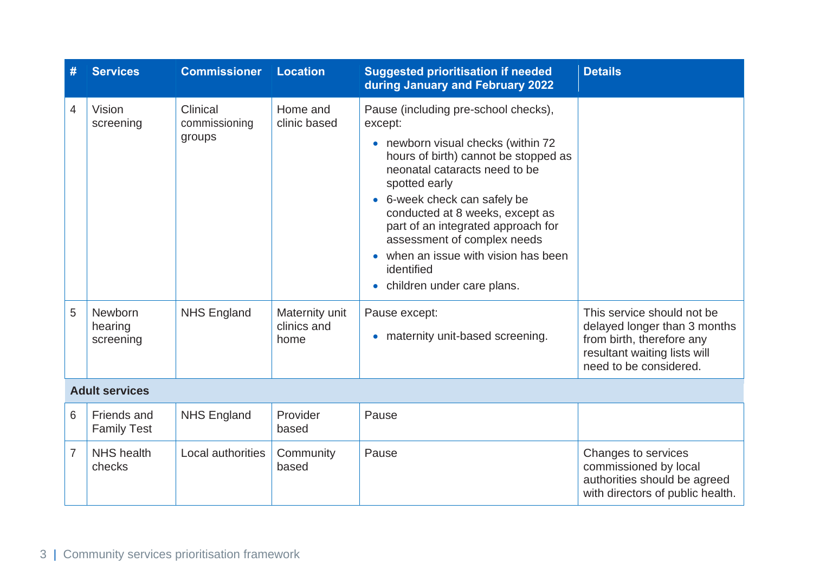| #              | <b>Services</b>                   | <b>Commissioner</b>                 | <b>Location</b>                       | <b>Suggested prioritisation if needed</b><br>during January and February 2022                                                                                                                                                                                                                                                                                                                                            | <b>Details</b>                                                                                                                                    |
|----------------|-----------------------------------|-------------------------------------|---------------------------------------|--------------------------------------------------------------------------------------------------------------------------------------------------------------------------------------------------------------------------------------------------------------------------------------------------------------------------------------------------------------------------------------------------------------------------|---------------------------------------------------------------------------------------------------------------------------------------------------|
| $\overline{4}$ | Vision<br>screening               | Clinical<br>commissioning<br>groups | Home and<br>clinic based              | Pause (including pre-school checks),<br>except:<br>• newborn visual checks (within 72<br>hours of birth) cannot be stopped as<br>neonatal cataracts need to be<br>spotted early<br>• 6-week check can safely be<br>conducted at 8 weeks, except as<br>part of an integrated approach for<br>assessment of complex needs<br>• when an issue with vision has been<br>identified<br>children under care plans.<br>$\bullet$ |                                                                                                                                                   |
| 5              | Newborn<br>hearing<br>screening   | <b>NHS England</b>                  | Maternity unit<br>clinics and<br>home | Pause except:<br>maternity unit-based screening.<br>$\bullet$                                                                                                                                                                                                                                                                                                                                                            | This service should not be<br>delayed longer than 3 months<br>from birth, therefore any<br>resultant waiting lists will<br>need to be considered. |
|                | <b>Adult services</b>             |                                     |                                       |                                                                                                                                                                                                                                                                                                                                                                                                                          |                                                                                                                                                   |
| 6              | Friends and<br><b>Family Test</b> | <b>NHS England</b>                  | Provider<br>based                     | Pause                                                                                                                                                                                                                                                                                                                                                                                                                    |                                                                                                                                                   |
| $\overline{7}$ | <b>NHS</b> health<br>checks       | Local authorities                   | Community<br>based                    | Pause                                                                                                                                                                                                                                                                                                                                                                                                                    | Changes to services<br>commissioned by local<br>authorities should be agreed<br>with directors of public health.                                  |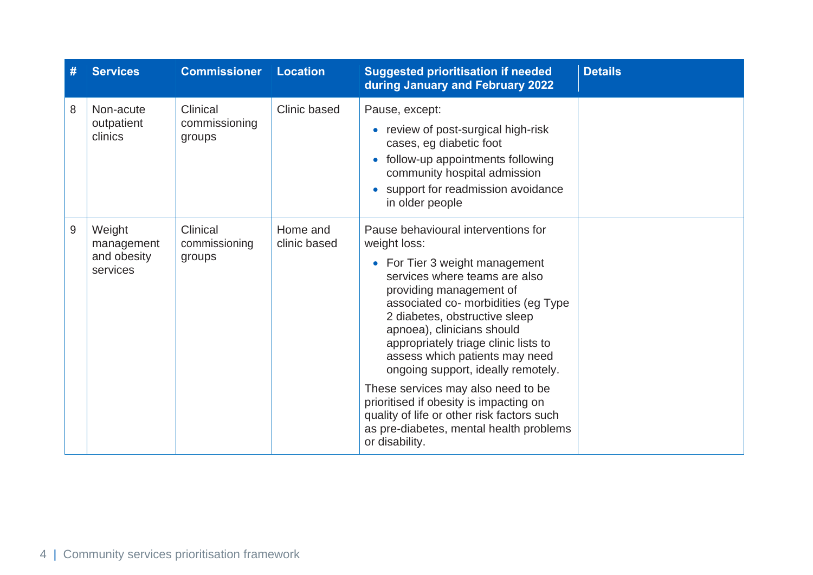| #     | <b>Services</b>                                 | <b>Commissioner</b>                 | <b>Location</b>          | <b>Suggested prioritisation if needed</b><br>during January and February 2022                                                                                                                                                                                                                                                                                           | <b>Details</b> |
|-------|-------------------------------------------------|-------------------------------------|--------------------------|-------------------------------------------------------------------------------------------------------------------------------------------------------------------------------------------------------------------------------------------------------------------------------------------------------------------------------------------------------------------------|----------------|
| 8     | Non-acute                                       | Clinical                            | Clinic based             | Pause, except:                                                                                                                                                                                                                                                                                                                                                          |                |
|       | outpatient<br>clinics                           | commissioning<br>groups             |                          | review of post-surgical high-risk<br>$\bullet$<br>cases, eg diabetic foot                                                                                                                                                                                                                                                                                               |                |
|       |                                                 |                                     |                          | follow-up appointments following<br>community hospital admission                                                                                                                                                                                                                                                                                                        |                |
|       |                                                 |                                     |                          | support for readmission avoidance<br>in older people                                                                                                                                                                                                                                                                                                                    |                |
| $9\,$ | Weight<br>management<br>and obesity<br>services | Clinical<br>commissioning<br>groups | Home and<br>clinic based | Pause behavioural interventions for<br>weight loss:<br>• For Tier 3 weight management<br>services where teams are also<br>providing management of<br>associated co- morbidities (eg Type<br>2 diabetes, obstructive sleep<br>apnoea), clinicians should<br>appropriately triage clinic lists to<br>assess which patients may need<br>ongoing support, ideally remotely. |                |
|       |                                                 |                                     |                          | These services may also need to be<br>prioritised if obesity is impacting on<br>quality of life or other risk factors such<br>as pre-diabetes, mental health problems<br>or disability.                                                                                                                                                                                 |                |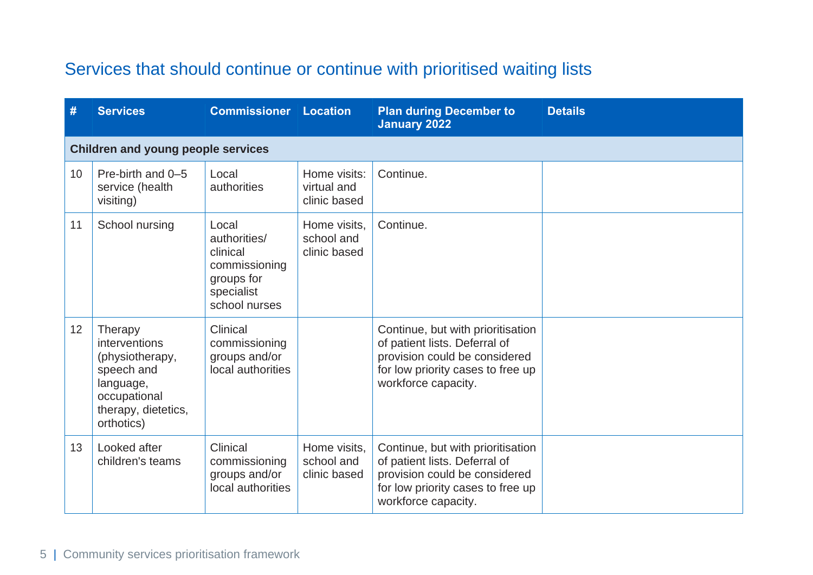## Services that should continue or continue with prioritised waiting lists

| #               | <b>Services</b>                                                                                                             | <b>Commissioner Location</b>                                                                    |                                             | <b>Plan during December to</b><br><b>January 2022</b>                                                                                                           | <b>Details</b> |
|-----------------|-----------------------------------------------------------------------------------------------------------------------------|-------------------------------------------------------------------------------------------------|---------------------------------------------|-----------------------------------------------------------------------------------------------------------------------------------------------------------------|----------------|
|                 | <b>Children and young people services</b>                                                                                   |                                                                                                 |                                             |                                                                                                                                                                 |                |
| 10 <sup>°</sup> | Pre-birth and 0-5<br>service (health<br>visiting)                                                                           | Local<br>authorities                                                                            | Home visits:<br>virtual and<br>clinic based | Continue.                                                                                                                                                       |                |
| 11              | School nursing                                                                                                              | Local<br>authorities/<br>clinical<br>commissioning<br>groups for<br>specialist<br>school nurses | Home visits,<br>school and<br>clinic based  | Continue.                                                                                                                                                       |                |
| 12              | Therapy<br>interventions<br>(physiotherapy,<br>speech and<br>language,<br>occupational<br>therapy, dietetics,<br>orthotics) | Clinical<br>commissioning<br>groups and/or<br>local authorities                                 |                                             | Continue, but with prioritisation<br>of patient lists. Deferral of<br>provision could be considered<br>for low priority cases to free up<br>workforce capacity. |                |
| 13              | Looked after<br>children's teams                                                                                            | Clinical<br>commissioning<br>groups and/or<br>local authorities                                 | Home visits,<br>school and<br>clinic based  | Continue, but with prioritisation<br>of patient lists. Deferral of<br>provision could be considered<br>for low priority cases to free up<br>workforce capacity. |                |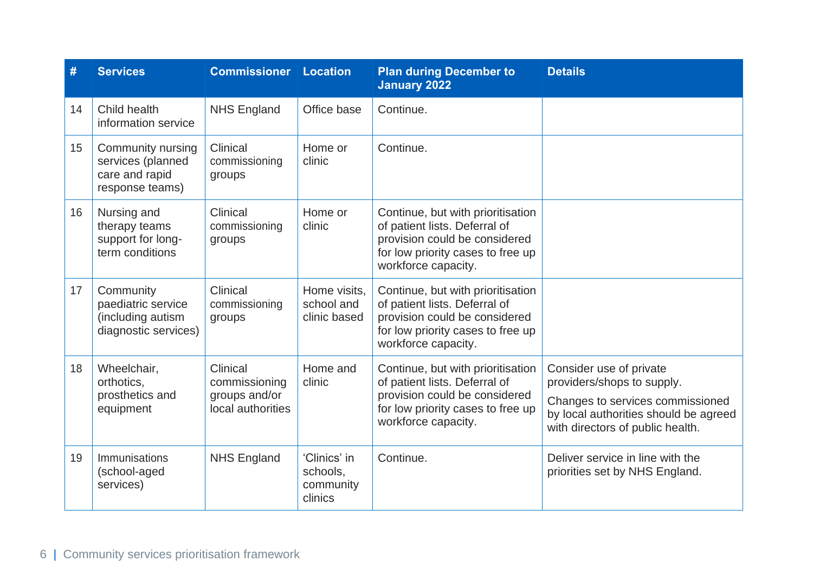| #  | <b>Services</b>                                                              | <b>Commissioner Location</b>                                    |                                                  | <b>Plan during December to</b><br><b>January 2022</b>                                                                                                           | <b>Details</b>                                                                                                                                                         |
|----|------------------------------------------------------------------------------|-----------------------------------------------------------------|--------------------------------------------------|-----------------------------------------------------------------------------------------------------------------------------------------------------------------|------------------------------------------------------------------------------------------------------------------------------------------------------------------------|
| 14 | Child health<br>information service                                          | <b>NHS England</b>                                              | Office base                                      | Continue.                                                                                                                                                       |                                                                                                                                                                        |
| 15 | Community nursing<br>services (planned<br>care and rapid<br>response teams)  | Clinical<br>commissioning<br>groups                             | Home or<br>clinic                                | Continue.                                                                                                                                                       |                                                                                                                                                                        |
| 16 | Nursing and<br>therapy teams<br>support for long-<br>term conditions         | Clinical<br>commissioning<br>groups                             | Home or<br>clinic                                | Continue, but with prioritisation<br>of patient lists. Deferral of<br>provision could be considered<br>for low priority cases to free up<br>workforce capacity. |                                                                                                                                                                        |
| 17 | Community<br>paediatric service<br>(including autism<br>diagnostic services) | Clinical<br>commissioning<br>groups                             | Home visits,<br>school and<br>clinic based       | Continue, but with prioritisation<br>of patient lists. Deferral of<br>provision could be considered<br>for low priority cases to free up<br>workforce capacity. |                                                                                                                                                                        |
| 18 | Wheelchair,<br>orthotics,<br>prosthetics and<br>equipment                    | Clinical<br>commissioning<br>groups and/or<br>local authorities | Home and<br>clinic                               | Continue, but with prioritisation<br>of patient lists. Deferral of<br>provision could be considered<br>for low priority cases to free up<br>workforce capacity. | Consider use of private<br>providers/shops to supply.<br>Changes to services commissioned<br>by local authorities should be agreed<br>with directors of public health. |
| 19 | Immunisations<br>(school-aged<br>services)                                   | <b>NHS England</b>                                              | 'Clinics' in<br>schools,<br>community<br>clinics | Continue.                                                                                                                                                       | Deliver service in line with the<br>priorities set by NHS England.                                                                                                     |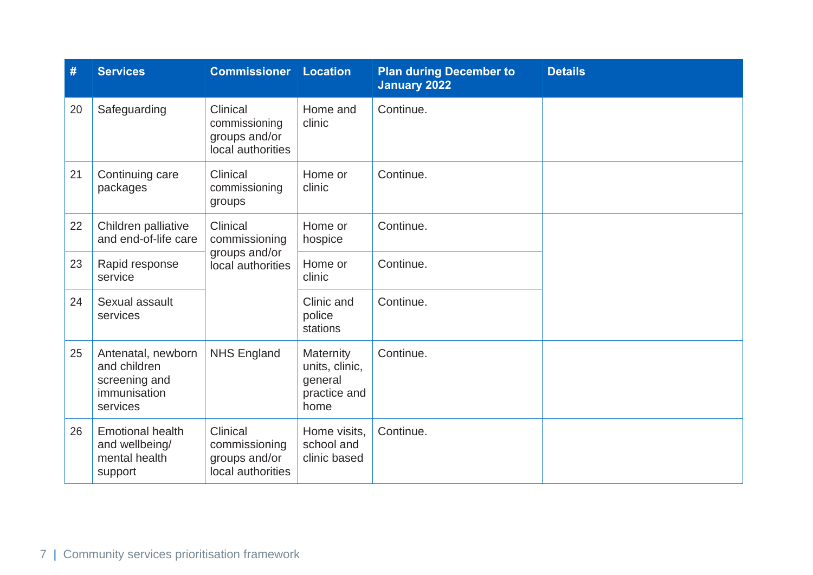| #  | <b>Services</b>                                                                 | <b>Commissioner Location</b>                                    |                                                                | <b>Plan during December to</b><br><b>January 2022</b> | <b>Details</b> |
|----|---------------------------------------------------------------------------------|-----------------------------------------------------------------|----------------------------------------------------------------|-------------------------------------------------------|----------------|
| 20 | Safeguarding                                                                    | Clinical<br>commissioning<br>groups and/or<br>local authorities | Home and<br>clinic                                             | Continue.                                             |                |
| 21 | Continuing care<br>packages                                                     | Clinical<br>commissioning<br>groups                             | Home or<br>clinic                                              | Continue.                                             |                |
| 22 | Children palliative<br>and end-of-life care                                     | Clinical<br>commissioning<br>groups and/or<br>local authorities | Home or<br>hospice                                             | Continue.                                             |                |
| 23 | Rapid response<br>service                                                       |                                                                 | Home or<br>clinic                                              | Continue.                                             |                |
| 24 | Sexual assault<br>services                                                      |                                                                 | Clinic and<br>police<br>stations                               | Continue.                                             |                |
| 25 | Antenatal, newborn<br>and children<br>screening and<br>immunisation<br>services | <b>NHS England</b>                                              | Maternity<br>units, clinic,<br>general<br>practice and<br>home | Continue.                                             |                |
| 26 | <b>Emotional health</b><br>and wellbeing/<br>mental health<br>support           | Clinical<br>commissioning<br>groups and/or<br>local authorities | Home visits,<br>school and<br>clinic based                     | Continue.                                             |                |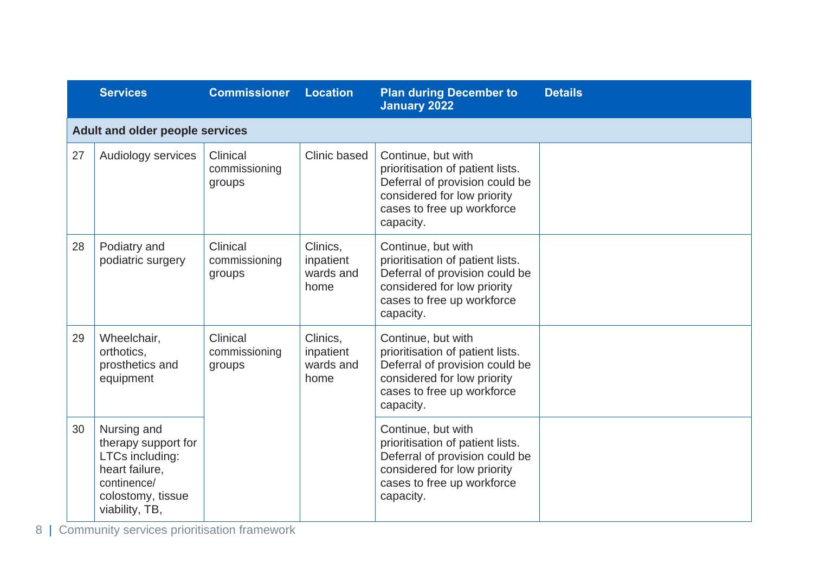|    | <b>Services</b>                                                                                                               | <b>Commissioner</b>                 | <b>Location</b>                            | <b>Plan during December to</b><br><b>January 2022</b>                                                                                                              | <b>Details</b> |
|----|-------------------------------------------------------------------------------------------------------------------------------|-------------------------------------|--------------------------------------------|--------------------------------------------------------------------------------------------------------------------------------------------------------------------|----------------|
|    | Adult and older people services                                                                                               |                                     |                                            |                                                                                                                                                                    |                |
| 27 | Audiology services                                                                                                            | Clinical<br>commissioning<br>groups | Clinic based                               | Continue, but with<br>prioritisation of patient lists.<br>Deferral of provision could be<br>considered for low priority<br>cases to free up workforce<br>capacity. |                |
| 28 | Podiatry and<br>podiatric surgery                                                                                             | Clinical<br>commissioning<br>groups | Clinics.<br>inpatient<br>wards and<br>home | Continue, but with<br>prioritisation of patient lists.<br>Deferral of provision could be<br>considered for low priority<br>cases to free up workforce<br>capacity. |                |
| 29 | Wheelchair,<br>orthotics,<br>prosthetics and<br>equipment                                                                     | Clinical<br>commissioning<br>groups | Clinics.<br>inpatient<br>wards and<br>home | Continue, but with<br>prioritisation of patient lists.<br>Deferral of provision could be<br>considered for low priority<br>cases to free up workforce<br>capacity. |                |
| 30 | Nursing and<br>therapy support for<br>LTCs including:<br>heart failure.<br>continence/<br>colostomy, tissue<br>viability, TB, |                                     |                                            | Continue, but with<br>prioritisation of patient lists.<br>Deferral of provision could be<br>considered for low priority<br>cases to free up workforce<br>capacity. |                |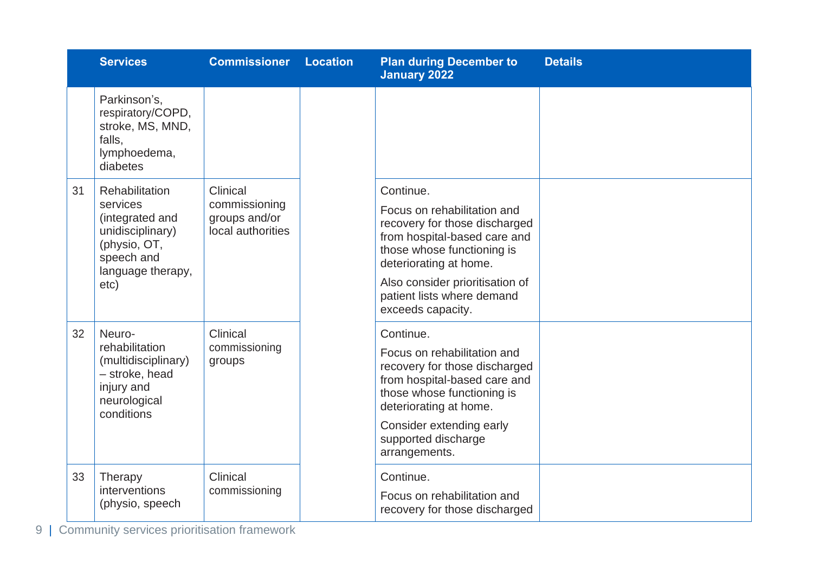|    | <b>Services</b>                                                                                                              | <b>Commissioner</b>                                             | <b>Location</b> | <b>Plan during December to</b><br><b>January 2022</b>                                                                                                                                                                                                   | <b>Details</b> |
|----|------------------------------------------------------------------------------------------------------------------------------|-----------------------------------------------------------------|-----------------|---------------------------------------------------------------------------------------------------------------------------------------------------------------------------------------------------------------------------------------------------------|----------------|
|    | Parkinson's,<br>respiratory/COPD,<br>stroke, MS, MND,<br>falls.<br>lymphoedema,<br>diabetes                                  |                                                                 |                 |                                                                                                                                                                                                                                                         |                |
| 31 | Rehabilitation<br>services<br>(integrated and<br>unidisciplinary)<br>(physio, OT,<br>speech and<br>language therapy,<br>etc) | Clinical<br>commissioning<br>groups and/or<br>local authorities |                 | Continue.<br>Focus on rehabilitation and<br>recovery for those discharged<br>from hospital-based care and<br>those whose functioning is<br>deteriorating at home.<br>Also consider prioritisation of<br>patient lists where demand<br>exceeds capacity. |                |
| 32 | Neuro-<br>rehabilitation<br>(multidisciplinary)<br>- stroke, head<br>injury and<br>neurological<br>conditions                | Clinical<br>commissioning<br>groups                             |                 | Continue.<br>Focus on rehabilitation and<br>recovery for those discharged<br>from hospital-based care and<br>those whose functioning is<br>deteriorating at home.<br>Consider extending early<br>supported discharge<br>arrangements.                   |                |
| 33 | Therapy<br>interventions<br>(physio, speech                                                                                  | Clinical<br>commissioning                                       |                 | Continue.<br>Focus on rehabilitation and<br>recovery for those discharged                                                                                                                                                                               |                |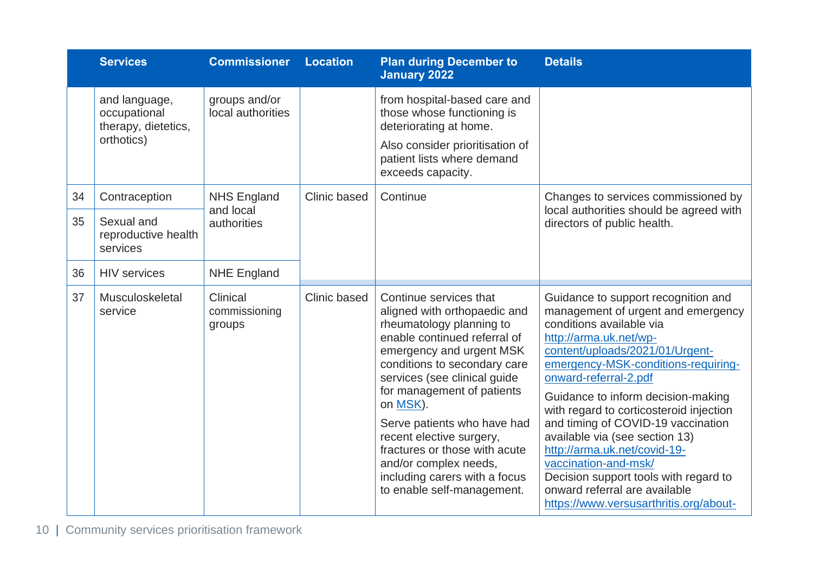|    | <b>Services</b>                                                    | <b>Commissioner</b>                 | <b>Location</b> | <b>Plan during December to</b><br><b>January 2022</b>                                                                                                                                                                                                                                                                                                                                                                                        | <b>Details</b>                                                                                                                                                                                                                                                                                                                                                                                                                                                                                                                                                          |
|----|--------------------------------------------------------------------|-------------------------------------|-----------------|----------------------------------------------------------------------------------------------------------------------------------------------------------------------------------------------------------------------------------------------------------------------------------------------------------------------------------------------------------------------------------------------------------------------------------------------|-------------------------------------------------------------------------------------------------------------------------------------------------------------------------------------------------------------------------------------------------------------------------------------------------------------------------------------------------------------------------------------------------------------------------------------------------------------------------------------------------------------------------------------------------------------------------|
|    | and language,<br>occupational<br>therapy, dietetics,<br>orthotics) | groups and/or<br>local authorities  |                 | from hospital-based care and<br>those whose functioning is<br>deteriorating at home.<br>Also consider prioritisation of<br>patient lists where demand<br>exceeds capacity.                                                                                                                                                                                                                                                                   |                                                                                                                                                                                                                                                                                                                                                                                                                                                                                                                                                                         |
| 34 | Contraception                                                      | <b>NHS England</b><br>and local     | Clinic based    | Continue                                                                                                                                                                                                                                                                                                                                                                                                                                     | Changes to services commissioned by                                                                                                                                                                                                                                                                                                                                                                                                                                                                                                                                     |
| 35 | Sexual and<br>reproductive health<br>services                      | authorities                         |                 |                                                                                                                                                                                                                                                                                                                                                                                                                                              | local authorities should be agreed with<br>directors of public health.                                                                                                                                                                                                                                                                                                                                                                                                                                                                                                  |
| 36 | <b>HIV</b> services                                                | <b>NHE England</b>                  |                 |                                                                                                                                                                                                                                                                                                                                                                                                                                              |                                                                                                                                                                                                                                                                                                                                                                                                                                                                                                                                                                         |
| 37 | Musculoskeletal<br>service                                         | Clinical<br>commissioning<br>groups | Clinic based    | Continue services that<br>aligned with orthopaedic and<br>rheumatology planning to<br>enable continued referral of<br>emergency and urgent MSK<br>conditions to secondary care<br>services (see clinical guide<br>for management of patients<br>on MSK).<br>Serve patients who have had<br>recent elective surgery,<br>fractures or those with acute<br>and/or complex needs,<br>including carers with a focus<br>to enable self-management. | Guidance to support recognition and<br>management of urgent and emergency<br>conditions available via<br>http://arma.uk.net/wp-<br>content/uploads/2021/01/Urgent-<br>emergency-MSK-conditions-requiring-<br>onward-referral-2.pdf<br>Guidance to inform decision-making<br>with regard to corticosteroid injection<br>and timing of COVID-19 vaccination<br>available via (see section 13)<br>http://arma.uk.net/covid-19-<br>vaccination-and-msk/<br>Decision support tools with regard to<br>onward referral are available<br>https://www.versusarthritis.org/about- |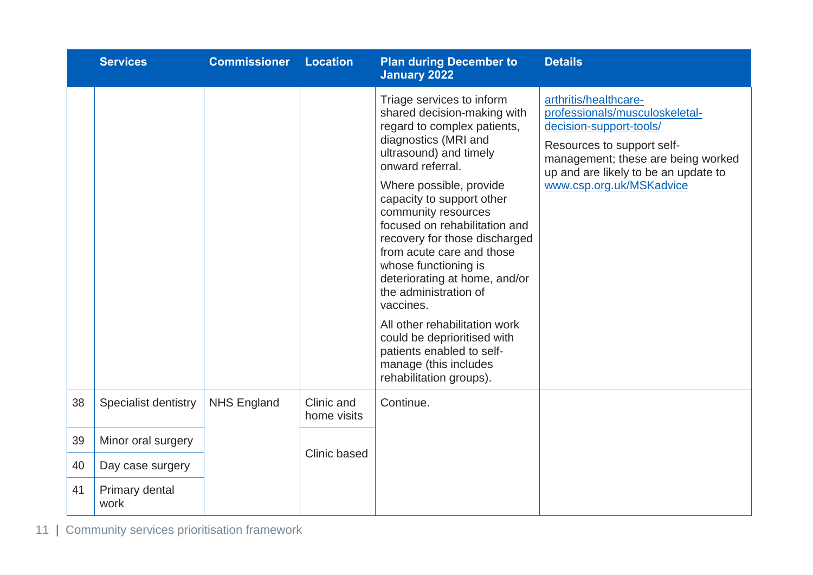|    | <b>Services</b>             | <b>Commissioner</b> | <b>Location</b>           | <b>Plan during December to</b><br><b>January 2022</b>                                                                                                                                                                                                                                                                                                                                                                                                                                                                                                                                       | <b>Details</b>                                                                                                                                                                                                             |
|----|-----------------------------|---------------------|---------------------------|---------------------------------------------------------------------------------------------------------------------------------------------------------------------------------------------------------------------------------------------------------------------------------------------------------------------------------------------------------------------------------------------------------------------------------------------------------------------------------------------------------------------------------------------------------------------------------------------|----------------------------------------------------------------------------------------------------------------------------------------------------------------------------------------------------------------------------|
|    |                             |                     |                           | Triage services to inform<br>shared decision-making with<br>regard to complex patients,<br>diagnostics (MRI and<br>ultrasound) and timely<br>onward referral.<br>Where possible, provide<br>capacity to support other<br>community resources<br>focused on rehabilitation and<br>recovery for those discharged<br>from acute care and those<br>whose functioning is<br>deteriorating at home, and/or<br>the administration of<br>vaccines.<br>All other rehabilitation work<br>could be deprioritised with<br>patients enabled to self-<br>manage (this includes<br>rehabilitation groups). | arthritis/healthcare-<br>professionals/musculoskeletal-<br>decision-support-tools/<br>Resources to support self-<br>management; these are being worked<br>up and are likely to be an update to<br>www.csp.org.uk/MSKadvice |
| 38 | <b>Specialist dentistry</b> | <b>NHS England</b>  | Clinic and<br>home visits | Continue.                                                                                                                                                                                                                                                                                                                                                                                                                                                                                                                                                                                   |                                                                                                                                                                                                                            |
| 39 | Minor oral surgery          |                     | Clinic based              |                                                                                                                                                                                                                                                                                                                                                                                                                                                                                                                                                                                             |                                                                                                                                                                                                                            |
| 40 | Day case surgery            |                     |                           |                                                                                                                                                                                                                                                                                                                                                                                                                                                                                                                                                                                             |                                                                                                                                                                                                                            |
| 41 | Primary dental<br>work      |                     |                           |                                                                                                                                                                                                                                                                                                                                                                                                                                                                                                                                                                                             |                                                                                                                                                                                                                            |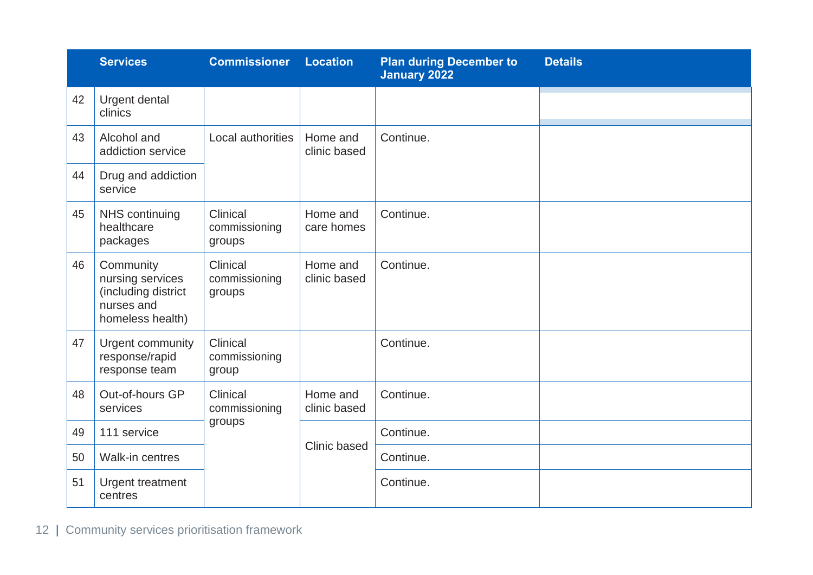|    | <b>Services</b>                                                                        | <b>Commissioner</b>                 | <b>Location</b>          | <b>Plan during December to</b><br><b>January 2022</b> | <b>Details</b> |
|----|----------------------------------------------------------------------------------------|-------------------------------------|--------------------------|-------------------------------------------------------|----------------|
| 42 | Urgent dental<br>clinics                                                               |                                     |                          |                                                       |                |
| 43 | Alcohol and<br>addiction service                                                       | Local authorities                   | Home and<br>clinic based | Continue.                                             |                |
| 44 | Drug and addiction<br>service                                                          |                                     |                          |                                                       |                |
| 45 | NHS continuing<br>healthcare<br>packages                                               | Clinical<br>commissioning<br>groups | Home and<br>care homes   | Continue.                                             |                |
| 46 | Community<br>nursing services<br>(including district<br>nurses and<br>homeless health) | Clinical<br>commissioning<br>groups | Home and<br>clinic based | Continue.                                             |                |
| 47 | Urgent community<br>response/rapid<br>response team                                    | Clinical<br>commissioning<br>group  |                          | Continue.                                             |                |
| 48 | Out-of-hours GP<br>services                                                            | Clinical<br>commissioning<br>groups | Home and<br>clinic based | Continue.                                             |                |
| 49 | 111 service                                                                            |                                     | Clinic based             | Continue.                                             |                |
| 50 | Walk-in centres                                                                        |                                     |                          | Continue.                                             |                |
| 51 | Urgent treatment<br>centres                                                            |                                     |                          | Continue.                                             |                |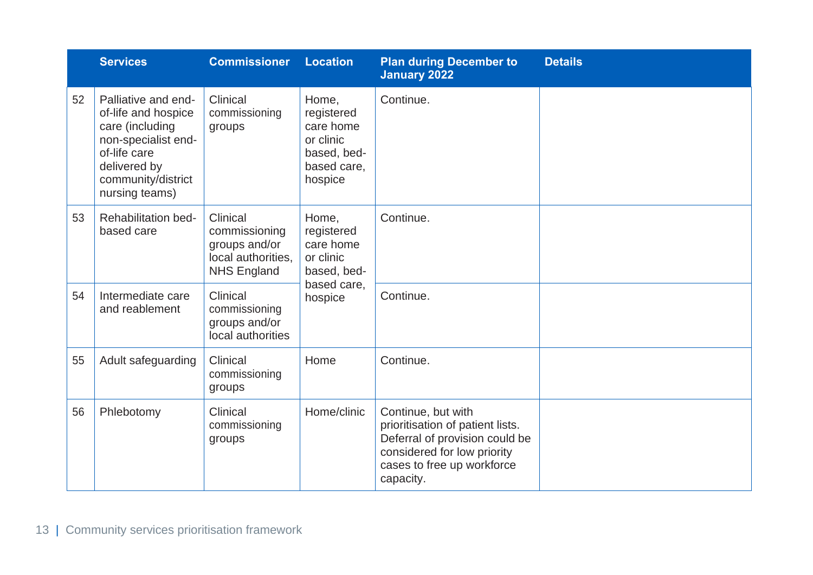|    | <b>Services</b>                                                                                                                                              | <b>Commissioner</b>                                                                    | <b>Location</b>                                                                        | <b>Plan during December to</b><br><b>January 2022</b>                                                                                                              | <b>Details</b> |
|----|--------------------------------------------------------------------------------------------------------------------------------------------------------------|----------------------------------------------------------------------------------------|----------------------------------------------------------------------------------------|--------------------------------------------------------------------------------------------------------------------------------------------------------------------|----------------|
| 52 | Palliative and end-<br>of-life and hospice<br>care (including<br>non-specialist end-<br>of-life care<br>delivered by<br>community/district<br>nursing teams) | Clinical<br>commissioning<br>groups                                                    | Home,<br>registered<br>care home<br>or clinic<br>based, bed-<br>based care,<br>hospice | Continue.                                                                                                                                                          |                |
| 53 | <b>Rehabilitation bed-</b><br>based care                                                                                                                     | Clinical<br>commissioning<br>groups and/or<br>local authorities,<br><b>NHS England</b> | Home,<br>registered<br>care home<br>or clinic<br>based, bed-<br>based care,<br>hospice | Continue.                                                                                                                                                          |                |
| 54 | Intermediate care<br>and reablement                                                                                                                          | Clinical<br>commissioning<br>groups and/or<br>local authorities                        |                                                                                        | Continue.                                                                                                                                                          |                |
| 55 | Adult safeguarding                                                                                                                                           | Clinical<br>commissioning<br>groups                                                    | Home                                                                                   | Continue.                                                                                                                                                          |                |
| 56 | Phlebotomy                                                                                                                                                   | Clinical<br>commissioning<br>groups                                                    | Home/clinic                                                                            | Continue, but with<br>prioritisation of patient lists.<br>Deferral of provision could be<br>considered for low priority<br>cases to free up workforce<br>capacity. |                |